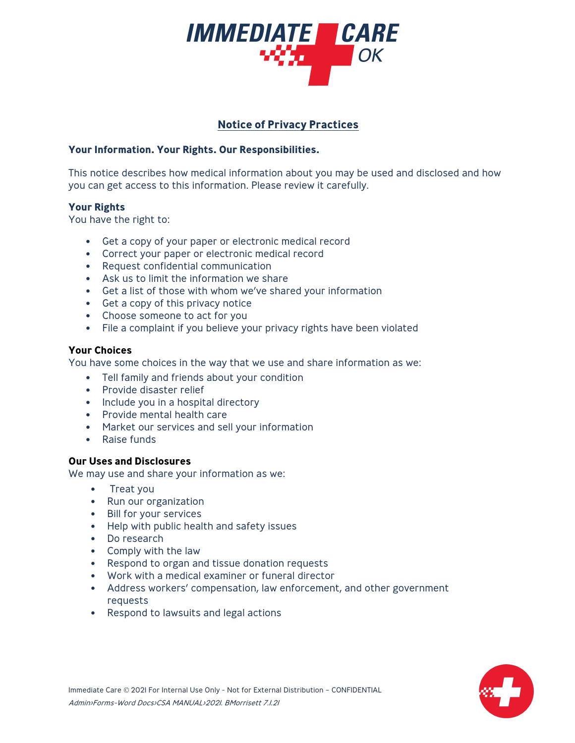

# **Notice of Privacy Practices**

# **Your Information. Your Rights. Our Responsibilities.**

This notice describes how medical information about you may be used and disclosed and how you can get access to this information. Please review it carefully.

# **Your Rights**

You have the right to:

- Get a copy of your paper or electronic medical record
- Correct your paper or electronic medical record
- Request confidential communication
- Ask us to limit the information we share
- Get a list of those with whom we've shared your information
- Get a copy of this privacy notice
- Choose someone to act for you
- File a complaint if you believe your privacy rights have been violated

# **Your Choices**

You have some choices in the way that we use and share information as we:

- Tell family and friends about your condition
- Provide disaster relief
- Include you in a hospital directory
- Provide mental health care
- Market our services and sell your information
- Raise funds

# **Our Uses and Disclosures**

We may use and share your information as we:

- Treat you
- Run our organization
- Bill for your services
- Help with public health and safety issues
- Do research
- Comply with the law
- Respond to organ and tissue donation requests
- Work with a medical examiner or funeral director
- Address workers' compensation, law enforcement, and other government requests
- Respond to lawsuits and legal actions

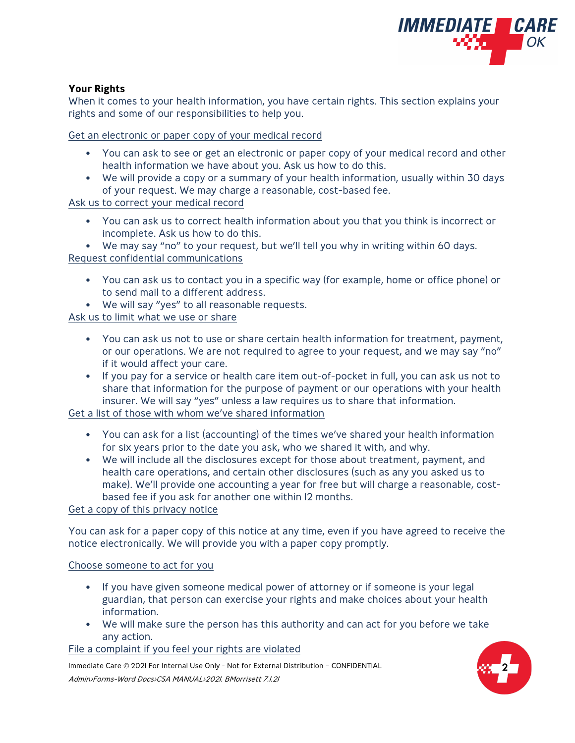

# **Your Rights**

When it comes to your health information, you have certain rights. This section explains your rights and some of our responsibilities to help you.

Get an electronic or paper copy of your medical record

- You can ask to see or get an electronic or paper copy of your medical record and other health information we have about you. Ask us how to do this.
- We will provide a copy or a summary of your health information, usually within 30 days of your request. We may charge a reasonable, cost-based fee.

Ask us to correct your medical record

• You can ask us to correct health information about you that you think is incorrect or incomplete. Ask us how to do this.

• We may say "no" to your request, but we'll tell you why in writing within 60 days.

Request confidential communications

- You can ask us to contact you in a specific way (for example, home or office phone) or to send mail to a different address.
- We will say "yes" to all reasonable requests.

Ask us to limit what we use or share

- You can ask us not to use or share certain health information for treatment, payment, or our operations. We are not required to agree to your request, and we may say "no" if it would affect your care.
- If you pay for a service or health care item out-of-pocket in full, you can ask us not to share that information for the purpose of payment or our operations with your health insurer. We will say "yes" unless a law requires us to share that information.

Get a list of those with whom we've shared information

- You can ask for a list (accounting) of the times we've shared your health information for six years prior to the date you ask, who we shared it with, and why.
- We will include all the disclosures except for those about treatment, payment, and health care operations, and certain other disclosures (such as any you asked us to make). We'll provide one accounting a year for free but will charge a reasonable, costbased fee if you ask for another one within 12 months.

Get a copy of this privacy notice

You can ask for a paper copy of this notice at any time, even if you have agreed to receive the notice electronically. We will provide you with a paper copy promptly.

Choose someone to act for you

- If you have given someone medical power of attorney or if someone is your legal guardian, that person can exercise your rights and make choices about your health information.
- We will make sure the person has this authority and can act for you before we take any action.

## File a complaint if you feel your rights are violated

Immediate Care © 2021 For Internal Use Only - Not for External Distribution - CONFIDENTIAL Admin>Forms-Word Docs>CSA MANUAL>2021. BMorrisett 7.1.21

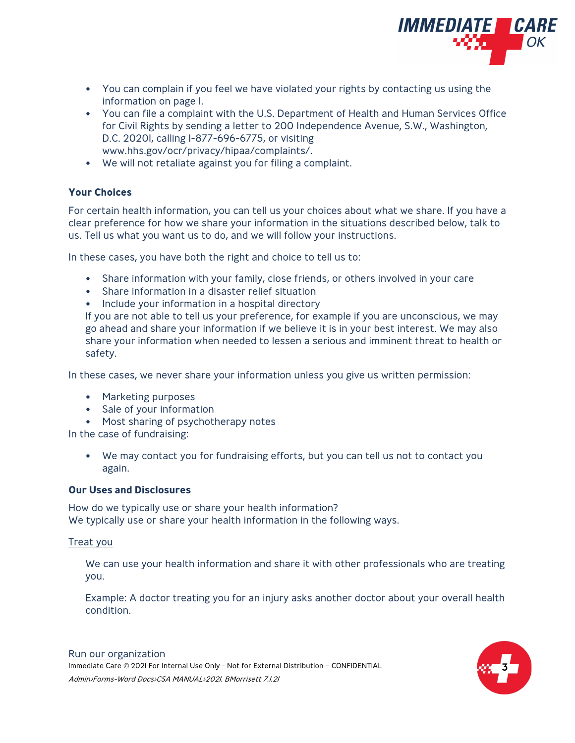

- You can complain if you feel we have violated your rights by contacting us using the information on page 1.
- You can file a complaint with the U.S. Department of Health and Human Services Office for Civil Rights by sending a letter to 200 Independence Avenue, S.W., Washington, D.C. 20201, calling 1-877-696-6775, or visiting www.hhs.gov/ocr/privacy/hipaa/complaints/.
- We will not retaliate against you for filing a complaint.

# **Your Choices**

For certain health information, you can tell us your choices about what we share. If you have a clear preference for how we share your information in the situations described below, talk to us. Tell us what you want us to do, and we will follow your instructions.

In these cases, you have both the right and choice to tell us to:

- Share information with your family, close friends, or others involved in your care
- Share information in a disaster relief situation
- Include your information in a hospital directory

If you are not able to tell us your preference, for example if you are unconscious, we may go ahead and share your information if we believe it is in your best interest. We may also share your information when needed to lessen a serious and imminent threat to health or safety.

In these cases, we never share your information unless you give us written permission:

- Marketing purposes
- Sale of your information
- Most sharing of psychotherapy notes

In the case of fundraising:

• We may contact you for fundraising efforts, but you can tell us not to contact you again.

## **Our Uses and Disclosures**

How do we typically use or share your health information? We typically use or share your health information in the following ways.

## Treat you

We can use your health information and share it with other professionals who are treating you.

Example: A doctor treating you for an injury asks another doctor about your overall health condition.

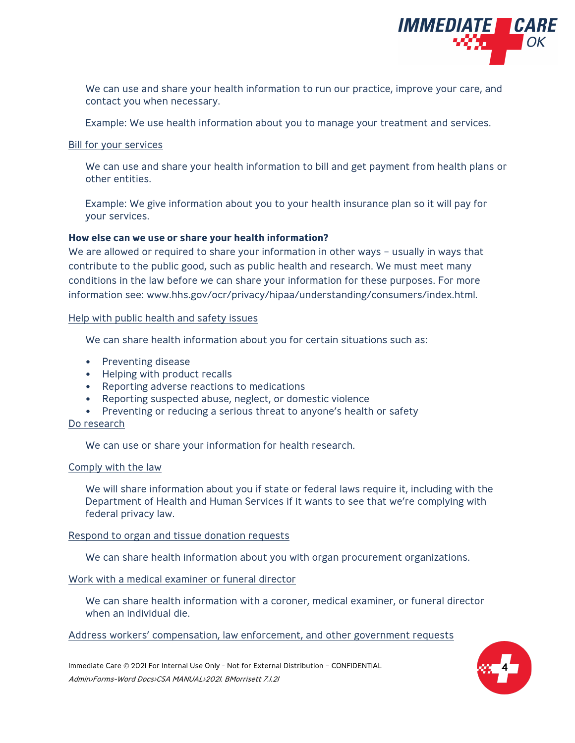

We can use and share your health information to run our practice, improve your care, and contact you when necessary.

Example: We use health information about you to manage your treatment and services.

#### Bill for your services

We can use and share your health information to bill and get payment from health plans or other entities.

Example: We give information about you to your health insurance plan so it will pay for your services.

## **How else can we use or share your health information?**

We are allowed or required to share your information in other ways – usually in ways that contribute to the public good, such as public health and research. We must meet many conditions in the law before we can share your information for these purposes. For more information see: www.hhs.gov/ocr/privacy/hipaa/understanding/consumers/index.html.

## Help with public health and safety issues

We can share health information about you for certain situations such as:

- Preventing disease
- Helping with product recalls
- Reporting adverse reactions to medications
- Reporting suspected abuse, neglect, or domestic violence
- Preventing or reducing a serious threat to anyone's health or safety

## Do research

We can use or share your information for health research.

## Comply with the law

We will share information about you if state or federal laws require it, including with the Department of Health and Human Services if it wants to see that we're complying with federal privacy law.

## Respond to organ and tissue donation requests

We can share health information about you with organ procurement organizations.

Work with a medical examiner or funeral director

We can share health information with a coroner, medical examiner, or funeral director when an individual die.

Address workers' compensation, law enforcement, and other government requests

Immediate Care © 2021 For Internal Use Only - Not for External Distribution - CONFIDENTIAL Admin>Forms-Word Docs>CSA MANUAL>2021. BMorrisett 7.1.21